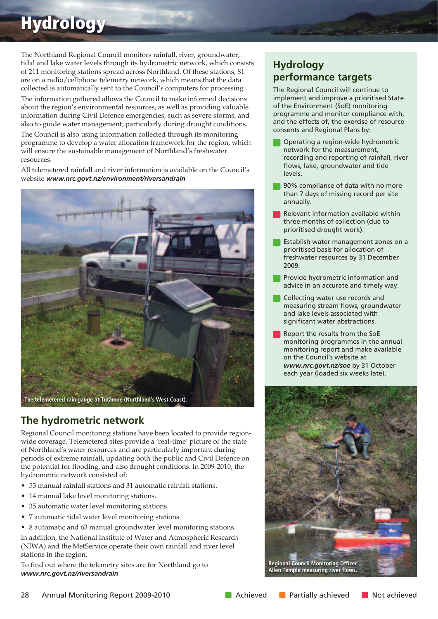# **Hydrology**

The Northland Regional Council monitors rainfall, river, groundwater, tidal and lake water levels through its hydrometric network, which consists of 211 monitoring stations spread across Northland. Of these stations, 81 are on a radio/cellphone telemetry network, which means that the data collected is automatically sent to the Council's computers for processing.

The information gathered allows the Council to make informed decisions about the region's environmental resources, as well as providing valuable information during Civil Defence emergencies, such as severe storms, and also to guide water management, particularly during drought conditions.

The Council is also using information collected through its monitoring programme to develop a water allocation framework for the region, which will ensure the sustainable management of Northland's freshwater resources.

All telemetered rainfall and river information is available on the Council's website *www.nrc.govt.nz/environment/riversandrain*



## **The hydrometric network**

Regional Council monitoring stations have been located to provide regionwide coverage. Telemetered sites provide a 'real-time' picture of the state of Northland's water resources and are particularly important during periods of extreme rainfall, updating both the public and Civil Defence on the potential for flooding, and also drought conditions. In 2009-2010, the hydrometric network consisted of:

- 53 manual rainfall stations and 31 automatic rainfall stations.
- 14 manual lake level monitoring stations.
- 35 automatic water level monitoring stations.
- 7 automatic tidal water level monitoring stations.
- 8 automatic and 63 manual groundwater level monitoring stations.

In addition, the National Institute of Water and Atmospheric Research (NIWA) and the MetService operate their own rainfall and river level stations in the region.

To find out where the telemetry sites are for Northland go to *www.nrc.govt.nz/riversandrain*

## **Hydrology performance targets**

The Regional Council will continue to implement and improve a prioritised State of the Environment (SoE) monitoring programme and monitor compliance with, and the effects of, the exercise of resource consents and Regional Plans by:

- Operating a region-wide hydrometric network for the measurement, recording and reporting of rainfall, river flows, lake, groundwater and tide levels.
- 90% compliance of data with no more than 7 days of missing record per site annually.
- Relevant information available within three months of collection (due to prioritised drought work).
- Establish water management zones on a prioritised basis for allocation of freshwater resources by 31 December 2009.
- Provide hydrometric information and advice in an accurate and timely way.
- Collecting water use records and measuring stream flows, groundwater and lake levels associated with significant water abstractions.
- Report the results from the SoE monitoring programmes in the annual monitoring report and make available on the Council's website at *www.nrc.govt.nz/soe* by 31 October each year (loaded six weeks late).